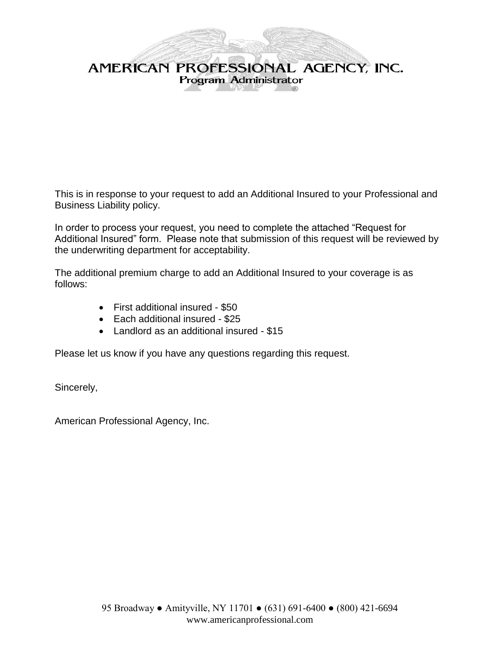

This is in response to your request to add an Additional Insured to your Professional and Business Liability policy.

In order to process your request, you need to complete the attached "Request for Additional Insured" form. Please note that submission of this request will be reviewed by the underwriting department for acceptability.

The additional premium charge to add an Additional Insured to your coverage is as follows:

- First additional insured \$50
- Each additional insured \$25
- Landlord as an additional insured \$15

Please let us know if you have any questions regarding this request.

Sincerely,

American Professional Agency, Inc.